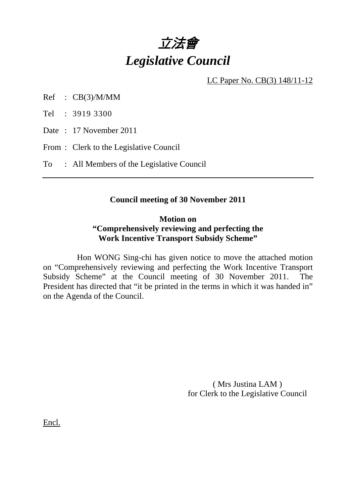

LC Paper No. CB(3) 148/11-12

Ref : CB(3)/M/MM

Tel : 3919 3300

Date : 17 November 2011

From : Clerk to the Legislative Council

To : All Members of the Legislative Council

#### **Council meeting of 30 November 2011**

#### **Motion on "Comprehensively reviewing and perfecting the Work Incentive Transport Subsidy Scheme"**

 Hon WONG Sing-chi has given notice to move the attached motion on "Comprehensively reviewing and perfecting the Work Incentive Transport Subsidy Scheme" at the Council meeting of 30 November 2011. The President has directed that "it be printed in the terms in which it was handed in" on the Agenda of the Council.

> ( Mrs Justina LAM ) for Clerk to the Legislative Council

Encl.